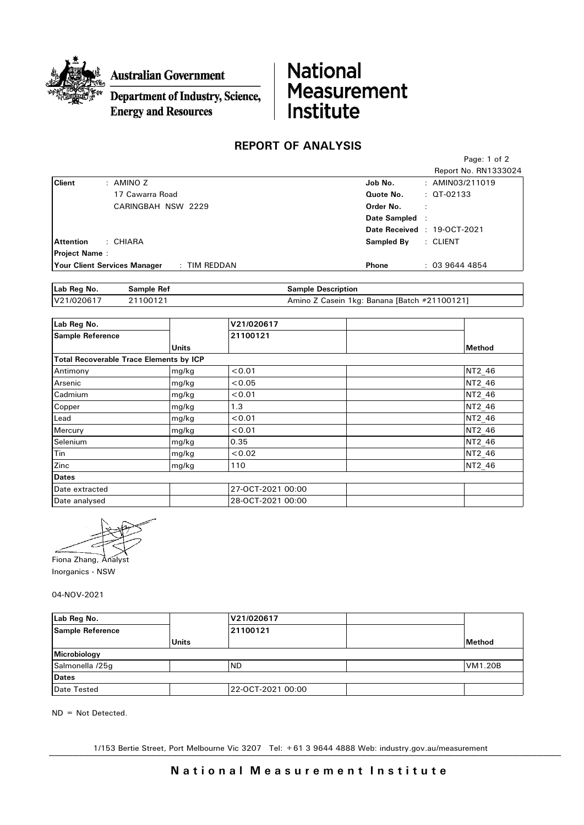

**Australian Government** 

## Department of Industry, Science, **Energy and Resources**

## National Measurement<br>Institute

## REPORT OF ANALYSIS

|                      |                                     |              |              | Page: 1 of 2               |
|----------------------|-------------------------------------|--------------|--------------|----------------------------|
|                      |                                     |              |              | Report No. RN1333024       |
| <b>Client</b>        | : AMINO Z                           |              | Job No.      | : $AMINO3/211019$          |
|                      | 17 Cawarra Road                     |              | Quote No.    | $:$ QT-02133               |
|                      | CARINGBAH NSW 2229                  |              | Order No.    |                            |
|                      |                                     |              | Date Sampled |                            |
|                      |                                     |              |              | Date Received: 19-OCT-2021 |
| <b>Attention</b>     | : CHIARA                            |              | Sampled By   | : CLIENT                   |
| <b>Project Name:</b> |                                     |              |              |                            |
|                      | <b>Your Client Services Manager</b> | : TIM REDDAN | Phone        | : 0396444854               |

| Lab Reg No. | Sample Ref | <b>Sample Description</b>                    |
|-------------|------------|----------------------------------------------|
| V21/020617  | 21100121   | Amino Z Casein 1kg: Banana [Batch #21100121] |

| Lab Reg No.                                    |              | V21/020617        |        |
|------------------------------------------------|--------------|-------------------|--------|
| <b>Sample Reference</b>                        |              | 21100121          |        |
|                                                | <b>Units</b> |                   | Method |
| <b>Total Recoverable Trace Elements by ICP</b> |              |                   |        |
| Antimony                                       | mg/kg        | < 0.01            | NT2_46 |
| Arsenic                                        | mg/kg        | < 0.05            | NT2 46 |
| Cadmium                                        | mg/kg        | < 0.01            | NT2 46 |
| Copper                                         | mg/kg        | 1.3               | NT2_46 |
| Lead                                           | mg/kg        | < 0.01            | NT2_46 |
| Mercury                                        | mg/kg        | < 0.01            | NT2 46 |
| Selenium                                       | mg/kg        | 0.35              | NT2 46 |
| Tin                                            | mg/kg        | < 0.02            | NT2_46 |
| Zinc                                           | mg/kg        | 110               | NT2 46 |
| <b>Dates</b>                                   |              |                   |        |
| Date extracted                                 |              | 27-OCT-2021 00:00 |        |
| Date analysed                                  |              | 28-OCT-2021 00:00 |        |



Inorganics - NSW

04-NOV-2021

| Lab Reg No.      |              | V21/020617        |  |                |
|------------------|--------------|-------------------|--|----------------|
| Sample Reference |              | 21100121          |  |                |
|                  | <b>Units</b> |                   |  | Method         |
| Microbiology     |              |                   |  |                |
| Salmonella /25g  |              | <b>ND</b>         |  | <b>VM1.20B</b> |
| <b>Dates</b>     |              |                   |  |                |
| Date Tested      |              | 22-OCT-2021 00:00 |  |                |

ND = Not Detected.

1/153 Bertie Street, Port Melbourne Vic 3207 Tel: +61 3 9644 4888 Web: industry.gov.au/measurement